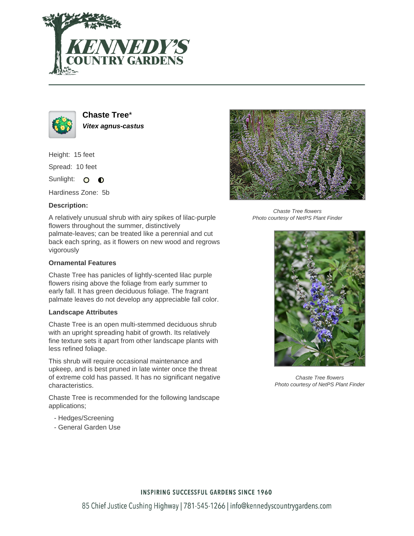



**Chaste Tree**\* **Vitex agnus-castus**

Height: 15 feet

Spread: 10 feet

Sunlight: O  $\bullet$ 

Hardiness Zone: 5b

## **Description:**

A relatively unusual shrub with airy spikes of lilac-purple flowers throughout the summer, distinctively palmate-leaves; can be treated like a perennial and cut back each spring, as it flowers on new wood and regrows vigorously

## **Ornamental Features**

Chaste Tree has panicles of lightly-scented lilac purple flowers rising above the foliage from early summer to early fall. It has green deciduous foliage. The fragrant palmate leaves do not develop any appreciable fall color.

### **Landscape Attributes**

Chaste Tree is an open multi-stemmed deciduous shrub with an upright spreading habit of growth. Its relatively fine texture sets it apart from other landscape plants with less refined foliage.

This shrub will require occasional maintenance and upkeep, and is best pruned in late winter once the threat of extreme cold has passed. It has no significant negative characteristics.

Chaste Tree is recommended for the following landscape applications;

- Hedges/Screening
- General Garden Use



Chaste Tree flowers Photo courtesy of NetPS Plant Finder



Chaste Tree flowers Photo courtesy of NetPS Plant Finder

## **INSPIRING SUCCESSFUL GARDENS SINCE 1960**